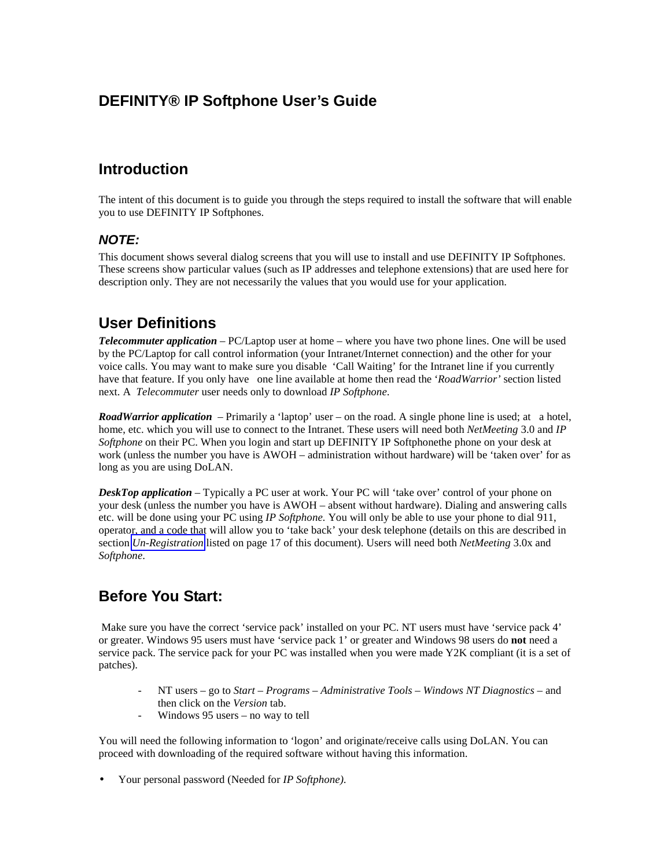# **DEFINITY® IP Softphone User's Guide**

# **Introduction**

The intent of this document is to guide you through the steps required to install the software that will enable you to use DEFINITY IP Softphones.

## *NOTE:*

This document shows several dialog screens that you will use to install and use DEFINITY IP Softphones. These screens show particular values (such as IP addresses and telephone extensions) that are used here for description only. They are not necessarily the values that you would use for your application.

# **User Definitions**

*Telecommuter application* – PC/Laptop user at home – where you have two phone lines. One will be used by the PC/Laptop for call control information (your Intranet/Internet connection) and the other for your voice calls. You may want to make sure you disable 'Call Waiting' for the Intranet line if you currently have that feature. If you only have one line available at home then read the '*RoadWarrior'* section listed next. A *Telecommuter* user needs only to download *IP Softphone*.

*RoadWarrior application* – Primarily a 'laptop' user – on the road. A single phone line is used; at a hotel, home, etc. which you will use to connect to the Intranet. These users will need both *NetMeeting* 3.0 and *IP Softphone* on their PC. When you login and start up DEFINITY IP Softphonethe phone on your desk at work (unless the number you have is AWOH – administration without hardware) will be 'taken over' for as long as you are using DoLAN.

*DeskTop application* – Typically a PC user at work. Your PC will 'take over' control of your phone on your desk (unless the number you have is AWOH – absent without hardware). Dialing and answering calls etc. will be done using your PC using *IP Softphone.* You will only be able to use your phone to dial 911, operator, and a code that will allow you to 'take back' your desk telephone (details on this are described in section *[Un-Registration](#page-10-0)* listed on page 17 of this document). Users will need both *NetMeeting* 3.0x and *Softphone*.

## **Before You Start:**

 Make sure you have the correct 'service pack' installed on your PC. NT users must have 'service pack 4' or greater. Windows 95 users must have 'service pack 1' or greater and Windows 98 users do **not** need a service pack. The service pack for your PC was installed when you were made Y2K compliant (it is a set of patches).

- NT users go to *Start Programs Administrative Tools Windows NT Diagnostics* and then click on the *Version* tab.
- Windows  $95$  users no way to tell

You will need the following information to 'logon' and originate/receive calls using DoLAN. You can proceed with downloading of the required software without having this information.

• Your personal password (Needed for *IP Softphone)*.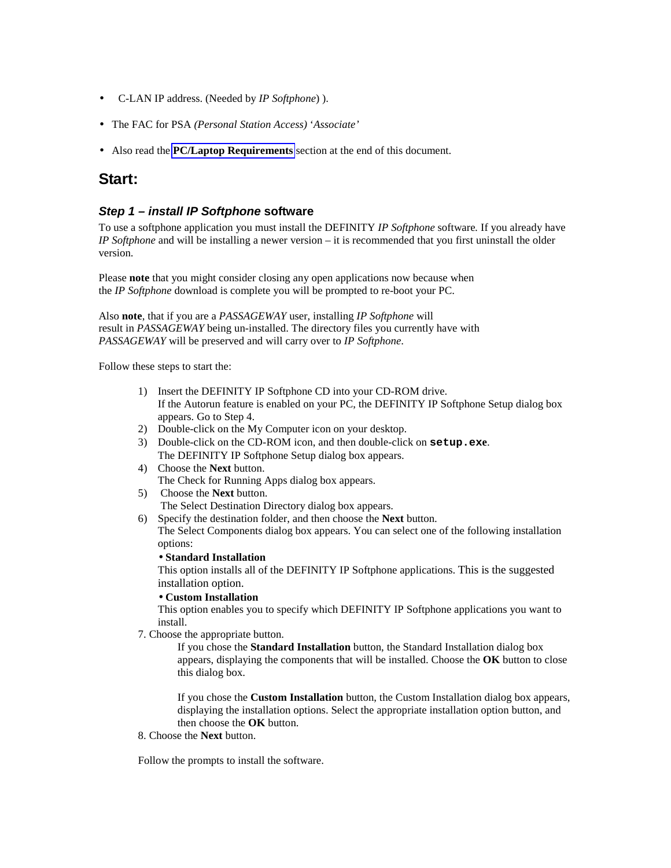- C-LAN IP address. (Needed by *IP Softphone*) ).
- The FAC for PSA *(Personal Station Access)* '*Associate'*
- Also read the **[PC/Laptop Requirements](#page-11-0)** section at the end of this document.

## **Start:**

### *Step 1 – install IP Softphone* **software**

To use a softphone application you must install the DEFINITY *IP Softphone* software*.* If you already have *IP Softphone* and will be installing a newer version – it is recommended that you first uninstall the older version.

Please **note** that you might consider closing any open applications now because when the *IP Softphone* download is complete you will be prompted to re-boot your PC.

Also **note**, that if you are a *PASSAGEWAY* user, installing *IP Softphone* will result in *PASSAGEWAY* being un-installed. The directory files you currently have with *PASSAGEWAY* will be preserved and will carry over to *IP Softphone*.

Follow these steps to start the:

- 1) Insert the DEFINITY IP Softphone CD into your CD-ROM drive. If the Autorun feature is enabled on your PC, the DEFINITY IP Softphone Setup dialog box appears. Go to Step 4.
- 2) Double-click on the My Computer icon on your desktop.
- 3) Double-click on the CD-ROM icon, and then double-click on **setup.exe**. The DEFINITY IP Softphone Setup dialog box appears.
- 4) Choose the **Next** button. The Check for Running Apps dialog box appears.
- 5) Choose the **Next** button. The Select Destination Directory dialog box appears.
- 6) Specify the destination folder, and then choose the **Next** button. The Select Components dialog box appears. You can select one of the following installation options:

### • **Standard Installation**

This option installs all of the DEFINITY IP Softphone applications. This is the suggested installation option.

### • **Custom Installation**

This option enables you to specify which DEFINITY IP Softphone applications you want to install.

7. Choose the appropriate button.

If you chose the **Standard Installation** button, the Standard Installation dialog box appears, displaying the components that will be installed. Choose the **OK** button to close this dialog box.

If you chose the **Custom Installation** button, the Custom Installation dialog box appears, displaying the installation options. Select the appropriate installation option button, and then choose the **OK** button.

8. Choose the **Next** button.

Follow the prompts to install the software.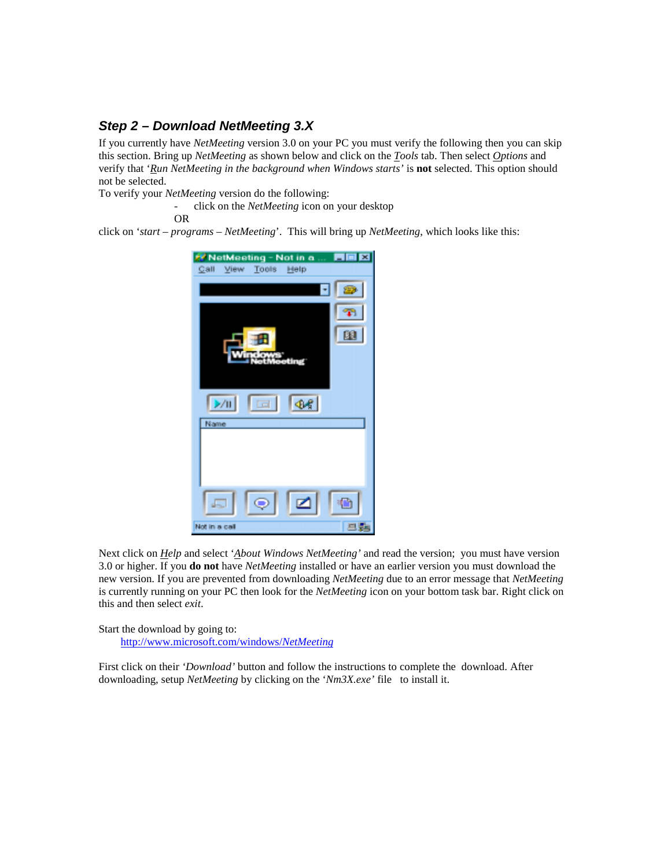## *Step 2 – Download NetMeeting 3.X*

If you currently have *NetMeeting* version 3.0 on your PC you must verify the following then you can skip this section. Bring up *NetMeeting* as shown below and click on the *Tools* tab. Then select *Options* and verify that '*Run NetMeeting in the background when Windows starts'* is **not** selected. This option should not be selected.

To verify your *NetMeeting* version do the following:

- click on the *NetMeeting* icon on your desktop

OR

click on '*start – programs – NetMeeting*'. This will bring up *NetMeeting*, which looks like this:



Next click on *Help* and select '*About Windows NetMeeting'* and read the version; you must have version 3.0 or higher. If you **do not** have *NetMeeting* installed or have an earlier version you must download the new version. If you are prevented from downloading *NetMeeting* due to an error message that *NetMeeting* is currently running on your PC then look for the *NetMeeting* icon on your bottom task bar. Right click on this and then select *exit*.

Start the download by going to:

http://www.microsoft.com/windows/*NetMeeting*

First click on their *'Download'* button and follow the instructions to complete the download. After downloading, setup *NetMeeting* by clicking on the '*Nm3X.exe'* file to install it.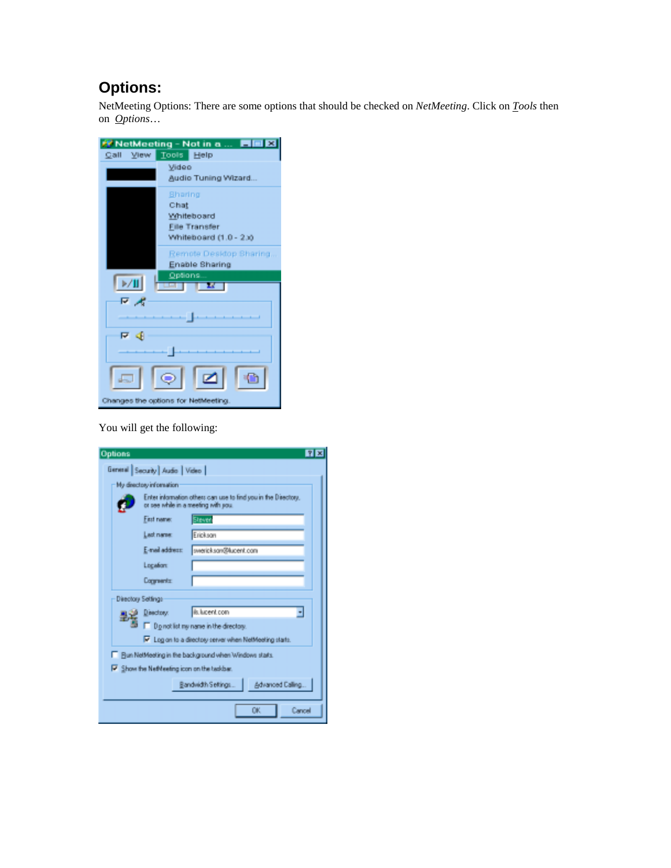# **Options:**

NetMeeting Options: There are some options that should be checked on *NetMeeting*. Click on *Tools* then on *Options*…



You will get the following:

| Options                                               |                                |                                                                                                       | <b>NE</b> |  |
|-------------------------------------------------------|--------------------------------|-------------------------------------------------------------------------------------------------------|-----------|--|
|                                                       | General Security Audio   Video |                                                                                                       |           |  |
|                                                       | My directory information       |                                                                                                       |           |  |
|                                                       |                                | Enter information others can use to find you in the Directory,<br>or see while in a meeting with you. |           |  |
|                                                       | <b>First name:</b>             | <b>Steven</b>                                                                                         |           |  |
|                                                       | Lact name:                     | Erickson                                                                                              |           |  |
|                                                       | E-mail address:                | swerick.sav@lucent.com                                                                                |           |  |
|                                                       | Location                       |                                                                                                       |           |  |
|                                                       | <b>Comments</b>                |                                                                                                       |           |  |
|                                                       | Directory Settings             |                                                                                                       |           |  |
|                                                       | Disactory.                     | ils. lucent.com                                                                                       |           |  |
|                                                       |                                | Do not list ny name in the directory.                                                                 |           |  |
|                                                       |                                | V Log on to a directory server when NetMeeting starts.                                                |           |  |
| Pun NetMeeting in the background when Windows starts. |                                |                                                                                                       |           |  |
| F Show the NetNeeting icon on the tackbar.            |                                |                                                                                                       |           |  |
|                                                       |                                | Advanced Calling.<br>Bandwidth Seltings                                                               |           |  |
|                                                       |                                | OK.                                                                                                   | Cancel    |  |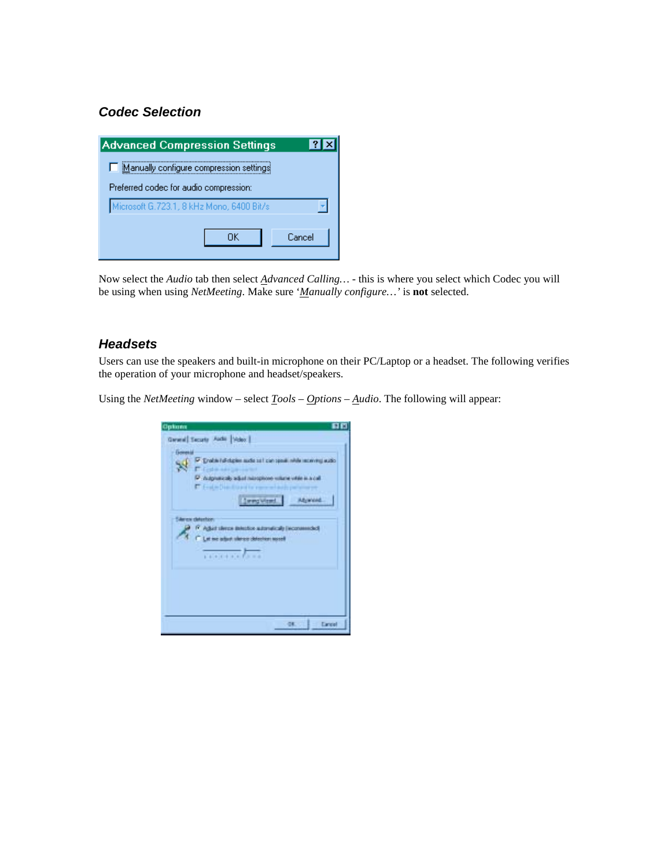## *Codec Selection*



Now select the *Audio* tab then select *Advanced Calling…* - this is where you select which Codec you will be using when using *NetMeeting*. Make sure '*Manually configure…'* is **not** selected.

### *Headsets*

Users can use the speakers and built-in microphone on their PC/Laptop or a headset. The following verifies the operation of your microphone and headset/speakers.

Using the *NetMeeting* window – select *Tools – Options – Audio*. The following will appear:

| Options         | 日日<br>General Security Audio   Nobel                                                                                                                                                                           |
|-----------------|----------------------------------------------------------------------------------------------------------------------------------------------------------------------------------------------------------------|
| <b>Governit</b> | Data for design and all car spot who accord and<br>College in a six particularly<br>P Augusticaly adult nurophone where visit is a call<br>T English Dean Enterprise expressed and it<br>[ ] and Wend. Abwend. |
|                 | Silence detection<br>IT Again steres intestor admitically (economical)<br><sup>C</sup> Let we adjust shower detectors to refl                                                                                  |
|                 |                                                                                                                                                                                                                |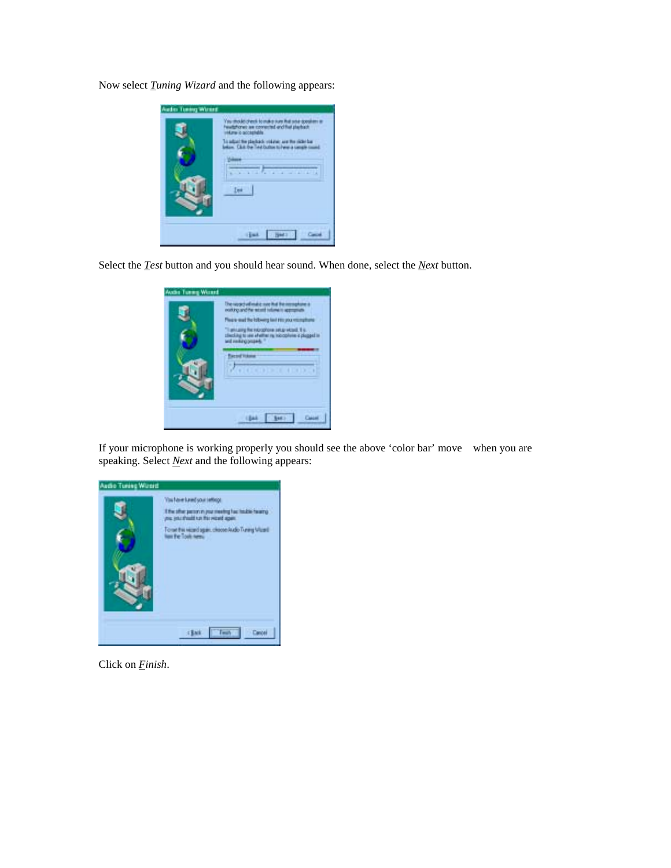Now select *Tuning Wizard* and the following appears:

| Audio Tuning Woord | .<br>At check to make runs that seur good<br>nes are connected and that playbach<br><b>A screenable</b><br>To adjust the playback you are the second bar<br>below. Club the Treat button to here a sensite con- |
|--------------------|-----------------------------------------------------------------------------------------------------------------------------------------------------------------------------------------------------------------|
|                    |                                                                                                                                                                                                                 |

Select the *Test* button and you should hear sound. When done, select the *Next* button.

| Audio Turing Woord | Desapadude<br>noting and he a<br>Please mad the lobsery last FRI you vit<br>e recognore seta vezad. Il s<br>affact its Indicate in a<br>Association in |
|--------------------|--------------------------------------------------------------------------------------------------------------------------------------------------------|
|                    | $4.1.1 - 1.1$<br><b>ATATATATATAT</b>                                                                                                                   |

If your microphone is working properly you should see the above 'color bar' move when you are speaking. Select *Next* and the following appears:



Click on *Finish*.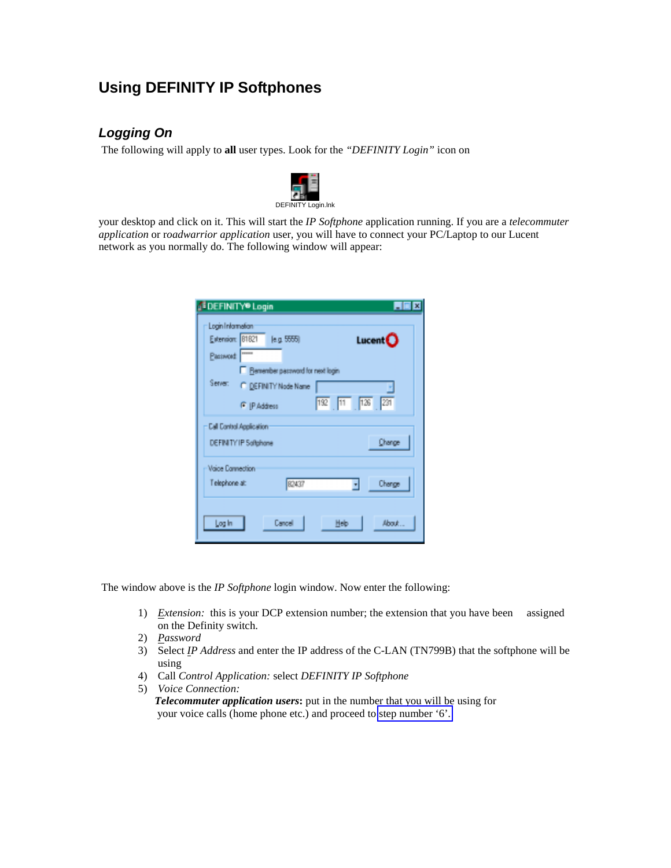# **Using DEFINITY IP Softphones**

## *Logging On*

The following will apply to **all** user types. Look for the *"DEFINITY Login"* icon on



your desktop and click on it. This will start the *IP Softphone* application running. If you are a *telecommuter application* or r*oadwarrior application* user, you will have to connect your PC/Laptop to our Lucent network as you normally do. The following window will appear:

| <b>SEE INITY®</b> Login           |                                                                  |                | $\blacksquare$ $\blacksquare$ $\blacksquare$ $\blacksquare$ |
|-----------------------------------|------------------------------------------------------------------|----------------|-------------------------------------------------------------|
| Login Information<br>Password     | Extension: 81821 le.g. 5555)<br>Remember password for next login |                | Luch                                                        |
| Server:                           | C DEFINITY Node Name<br>F IP Address                             | 192 11 126 231 |                                                             |
|                                   | <b>Call Control Application</b><br>DEFINITY IP Softphane         |                | Change                                                      |
| Vaice Cannection<br>Telephone at: | 82437                                                            | ▼              | Change                                                      |
| Log In                            | Cancel                                                           | Heb            | About                                                       |

The window above is the *IP Softphone* login window. Now enter the following:

- 1) *Extension:* this is your DCP extension number; the extension that you have been assigned on the Definity switch.
- 2) *Password*
- 3) Select *IP Address* and enter the IP address of the C-LAN (TN799B) that the softphone will be using
- 4) Call *Control Application:* select *DEFINITY IP Softphone*
- 5) *Voice Connection:*

 *Telecommuter application users***:** put in the number that you will be using for your voice calls (home phone etc.) and proceed to [step number '6'.](#page-8-0)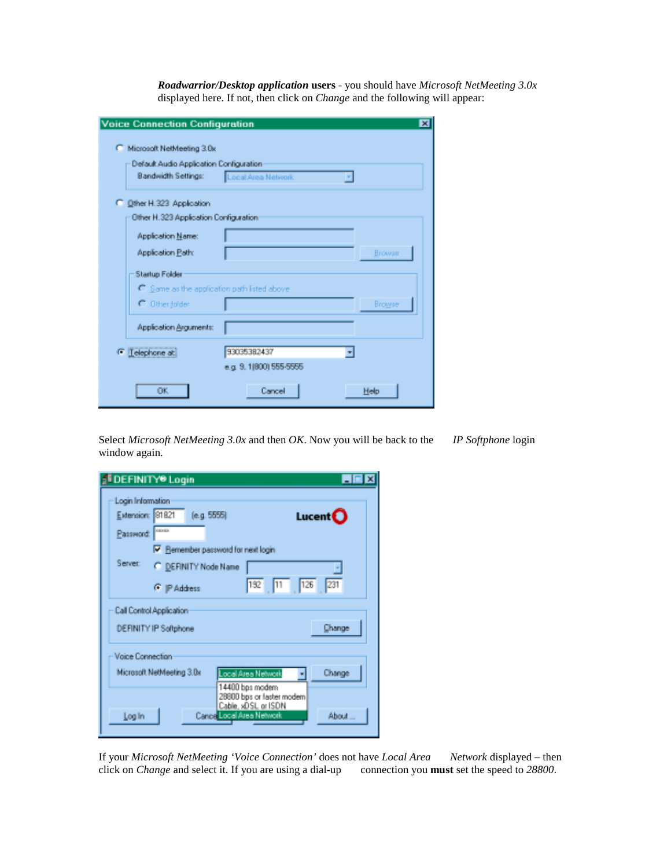*Roadwarrior/Desktop application* **users** - you should have *Microsoft NetMeeting 3.0x* displayed here. If not, then click on *Change* and the following will appear:

| <b>Voice Connection Configuration</b>       |                         | ⊠             |
|---------------------------------------------|-------------------------|---------------|
| Microsoft NetMeeting 3.0x                   |                         |               |
| Default Audio Application Configuration     |                         |               |
| <b>Bandwidth Settings:</b>                  | Local Area Network      |               |
| C Other H.323 Application                   |                         |               |
| Other H.323 Application Configuration       |                         |               |
| Application Name:                           |                         |               |
| Application Path:                           |                         | <b>Browse</b> |
| Startup Folder                              |                         |               |
| C Same as the application path listed above |                         |               |
| C Other folder                              |                         | Browser       |
| Application Arguments:                      |                         |               |
| <sup>6</sup> Telephone at:                  | 93035382437             |               |
|                                             | e.g. 9. 1(800) 555-5555 |               |
| OK.                                         | Cancel                  | Help          |

Select *Microsoft NetMeeting 3.0x* and then *OK*. Now you will be back to the *IP Softphone* login window again.

|                                                    | <b>DEFINITY® Login</b>                                                                  |                                                                      | $\blacksquare$ $\blacksquare$ $\times$ |
|----------------------------------------------------|-----------------------------------------------------------------------------------------|----------------------------------------------------------------------|----------------------------------------|
| Login Information<br>Extension: 81821<br>Password: | (e.g. 5555)<br><b>ABAKE</b>                                                             |                                                                      | Lucent $\mathbf O$                     |
| Server:                                            | $\nabla$ Remember password for next login<br>C DEFINITY Node Name<br><b>G</b> P Address | 192 11 126 231                                                       |                                        |
|                                                    | Call Control Application<br>DEFINITY IP Softphone                                       |                                                                      | Change                                 |
| Vaice Connection                                   | Microsoft NetMeeting 3.0x                                                               | Local Area Network<br>14400 bps modern<br>2B800 bps or faster modern | Change                                 |
| Log In                                             | Cance Local Area Network                                                                | Cable, xDSL or ISDN                                                  | About                                  |

If your *Microsoft NetMeeting 'Voice Connection'* does not have *Local Area Network* displayed – then click on *Change* and select it. If you are using a dial-up connection you **must** set the speed to *28800*.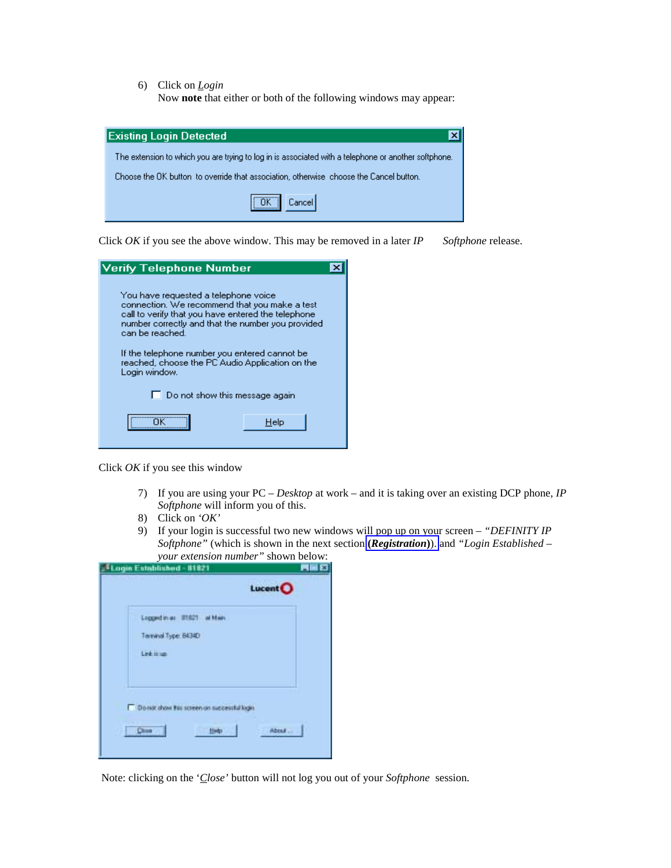<span id="page-8-0"></span>6) Click on *Login*

Now **note** that either or both of the following windows may appear:

| <b>Existing Login Detected</b><br>×                                                                  |
|------------------------------------------------------------------------------------------------------|
| The extension to which you are trying to log in is associated with a telephone or another softphone. |
| Choose the OK button to override that association, otherwise choose the Cancel button.               |
| ,,,,,,,,,,,,,,,,,<br>Cancel                                                                          |

Click *OK* if you see the above window. This may be removed in a later *IP Softphone* release.

| Verify Telephone Number                                                                                                                                                                                                                                                                                                                   |  |
|-------------------------------------------------------------------------------------------------------------------------------------------------------------------------------------------------------------------------------------------------------------------------------------------------------------------------------------------|--|
| You have requested a telephone voice<br>connection. We recommend that you make a test<br>call to verify that you have entered the telephone.<br>number correctly and that the number you provided<br>can be reached.<br>If the telephone number you entered cannot be<br>reached, choose the PC Audio Application on the<br>Login window. |  |
| $\Box$ Do not show this message again                                                                                                                                                                                                                                                                                                     |  |
| Help                                                                                                                                                                                                                                                                                                                                      |  |

Click *OK* if you see this window

- 7) If you are using your PC *Desktop* at work and it is taking over an existing DCP phone, *IP Softphone* will inform you of this.
- 8) Click on *'OK'*
- 9) If your login is successful two new windows will pop up on your screen *"DEFINITY IP Softphone"* (which is shown in the next section **(***[Registration](#page-9-0)***)**). and *"Login Established – your extension number"* shown below:

| your extension number<br><b>Login Established - 81821</b>           | $5110$ W $11$ OCTO W.<br><b>MEB</b> |
|---------------------------------------------------------------------|-------------------------------------|
|                                                                     | Lucent <sup>O</sup>                 |
| Loppedinia: II1621 wildwin<br>Terrinal Type: 8434D<br>Link is tan   |                                     |
| Do not show this screen on suppendul login<br><b>Choe</b><br>Hinday | About                               |

Note: clicking on the '*Close'* button will not log you out of your *Softphone* session.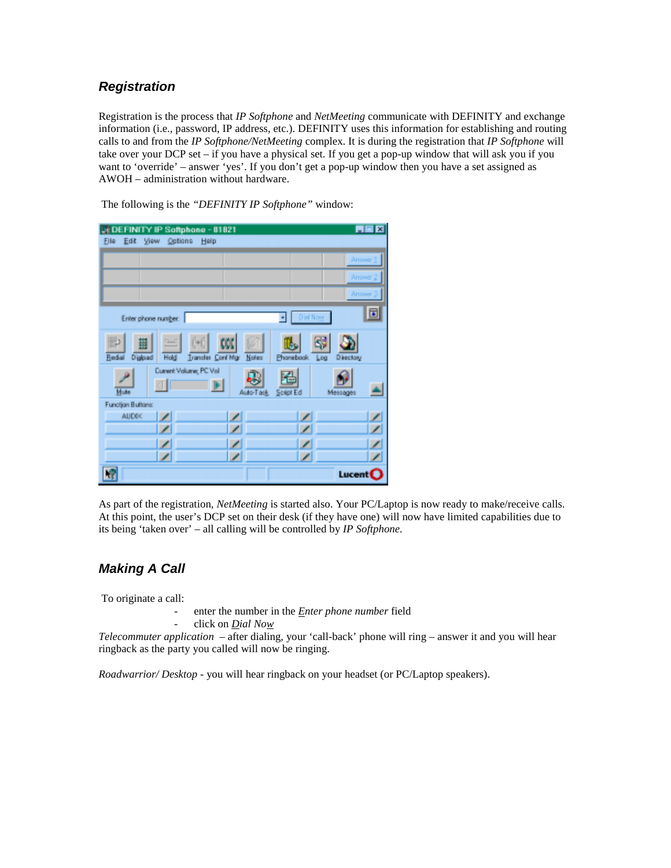## <span id="page-9-0"></span>*Registration*

Registration is the process that *IP Softphone* and *NetMeeting* communicate with DEFINITY and exchange information (i.e., password, IP address, etc.). DEFINITY uses this information for establishing and routing calls to and from the *IP Softphone/NetMeeting* complex. It is during the registration that *IP Softphone* will take over your DCP set – if you have a physical set. If you get a pop-up window that will ask you if you want to 'override' – answer 'yes'. If you don't get a pop-up window then you have a set assigned as AWOH – administration without hardware.

The following is the *"DEFINITY IP Softphone"* window:

| HEE<br><b>DEDEFINITY IP Softphone - 81821</b>                                                                  |
|----------------------------------------------------------------------------------------------------------------|
| Eile Edit View Options Help                                                                                    |
| Aniser 1                                                                                                       |
| Antiver 2                                                                                                      |
| Answer                                                                                                         |
| 同<br><b>Dist Now</b><br>ᅱ<br>Enter phone number:                                                               |
| <b>ED</b><br>$=$<br>蠿<br>Redal<br>Dialpad<br>Transfer Conf Mgr Notes<br>Hold<br>Phonebook.<br>Log<br>Directory |
| Current Volume; PC Vol<br>Mute<br>Auto-Task<br>Script Ed<br>Messages                                           |
| Function Buttons:                                                                                              |
| ╭<br>╭<br><b>AUDDO</b><br>↙                                                                                    |
| ◢                                                                                                              |
| ∕<br>╭<br>╭                                                                                                    |
| ◢                                                                                                              |
| Lucent <sup>(</sup>                                                                                            |

As part of the registration, *NetMeeting* is started also. Your PC/Laptop is now ready to make/receive calls. At this point, the user's DCP set on their desk (if they have one) will now have limited capabilities due to its being 'taken over' – all calling will be controlled by *IP Softphone.*

## *Making A Call*

To originate a call:

- enter the number in the *Enter phone number* field
- click on *Dial Now*

*Telecommuter application* – after dialing, your 'call-back' phone will ring – answer it and you will hear ringback as the party you called will now be ringing.

*Roadwarrior/ Desktop* - you will hear ringback on your headset (or PC/Laptop speakers).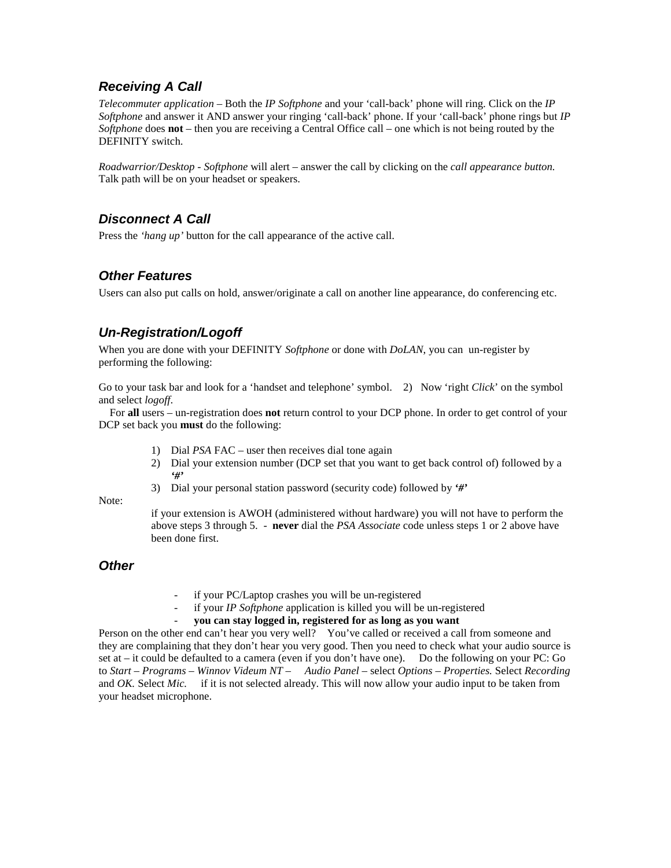## *Receiving A Call*

*Telecommuter application* – Both the *IP Softphone* and your 'call-back' phone will ring. Click on the *IP Softphone* and answer it AND answer your ringing 'call-back' phone. If your 'call-back' phone rings but *IP Softphone* does **not** – then you are receiving a Central Office call – one which is not being routed by the DEFINITY switch.

*Roadwarrior/Desktop - Softphone* will alert – answer the call by clicking on the *call appearance button.* Talk path will be on your headset or speakers.

## *Disconnect A Call*

Press the *'hang up'* button for the call appearance of the active call.

## *Other Features*

Users can also put calls on hold, answer/originate a call on another line appearance, do conferencing etc.

## <span id="page-10-0"></span>*Un-Registration/Logoff*

When you are done with your DEFINITY *Softphone* or done with *DoLAN*, you can un-register by performing the following:

Go to your task bar and look for a 'handset and telephone' symbol. 2) Now 'right *Click*' on the symbol and select *logoff*.

 For **all** users – un-registration does **not** return control to your DCP phone. In order to get control of your DCP set back you **must** do the following:

- 1) Dial *PSA* FAC user then receives dial tone again
- 2) Dial your extension number (DCP set that you want to get back control of) followed by a *'#'*
- 3) Dial your personal station password (security code) followed by *'#'*

#### Note:

if your extension is AWOH (administered without hardware) you will not have to perform the above steps 3 through 5. - **never** dial the *PSA Associate* code unless steps 1 or 2 above have been done first.

### *Other*

- if your PC/Laptop crashes you will be un-registered
- if your *IP Softphone* application is killed you will be un-registered
	- **you can stay logged in, registered for as long as you want**

Person on the other end can't hear you very well? You've called or received a call from someone and they are complaining that they don't hear you very good. Then you need to check what your audio source is set at – it could be defaulted to a camera (even if you don't have one). Do the following on your PC: Go to *Start – Programs – Winnov Videum NT – Audio Panel –* select *Options – Properties.* Select *Recording* and *OK.* Select *Mic.* if it is not selected already. This will now allow your audio input to be taken from your headset microphone.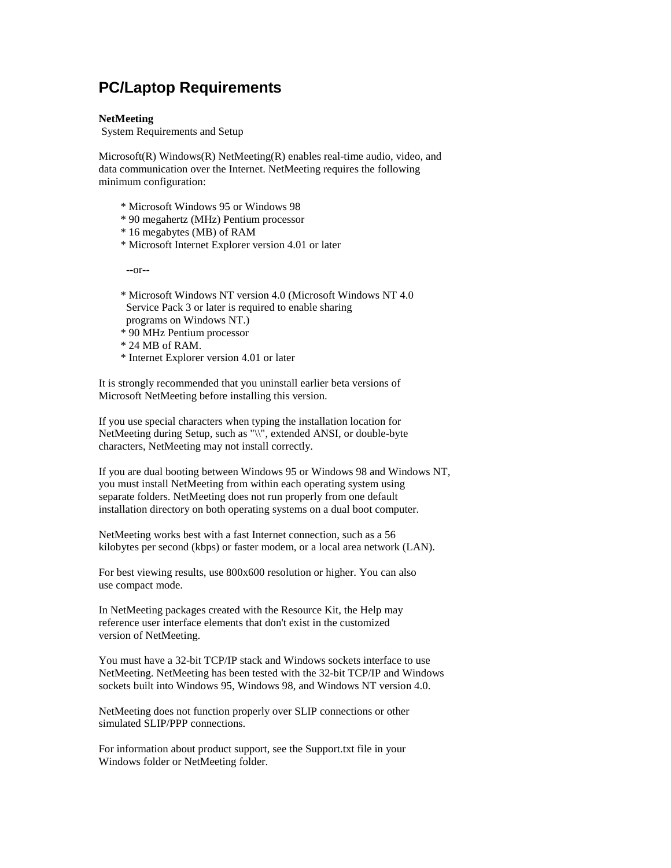# <span id="page-11-0"></span>**PC/Laptop Requirements**

#### **NetMeeting**

System Requirements and Setup

Microsoft(R) Windows(R) NetMeeting(R) enables real-time audio, video, and data communication over the Internet. NetMeeting requires the following minimum configuration:

- \* Microsoft Windows 95 or Windows 98
- \* 90 megahertz (MHz) Pentium processor
- \* 16 megabytes (MB) of RAM
- \* Microsoft Internet Explorer version 4.01 or later

--or--

- \* Microsoft Windows NT version 4.0 (Microsoft Windows NT 4.0 Service Pack 3 or later is required to enable sharing programs on Windows NT.)
- \* 90 MHz Pentium processor
- \* 24 MB of RAM.
- \* Internet Explorer version 4.01 or later

It is strongly recommended that you uninstall earlier beta versions of Microsoft NetMeeting before installing this version.

If you use special characters when typing the installation location for NetMeeting during Setup, such as "\\", extended ANSI, or double-byte characters, NetMeeting may not install correctly.

If you are dual booting between Windows 95 or Windows 98 and Windows NT, you must install NetMeeting from within each operating system using separate folders. NetMeeting does not run properly from one default installation directory on both operating systems on a dual boot computer.

NetMeeting works best with a fast Internet connection, such as a 56 kilobytes per second (kbps) or faster modem, or a local area network (LAN).

For best viewing results, use 800x600 resolution or higher. You can also use compact mode.

In NetMeeting packages created with the Resource Kit, the Help may reference user interface elements that don't exist in the customized version of NetMeeting.

You must have a 32-bit TCP/IP stack and Windows sockets interface to use NetMeeting. NetMeeting has been tested with the 32-bit TCP/IP and Windows sockets built into Windows 95, Windows 98, and Windows NT version 4.0.

NetMeeting does not function properly over SLIP connections or other simulated SLIP/PPP connections.

For information about product support, see the Support.txt file in your Windows folder or NetMeeting folder.